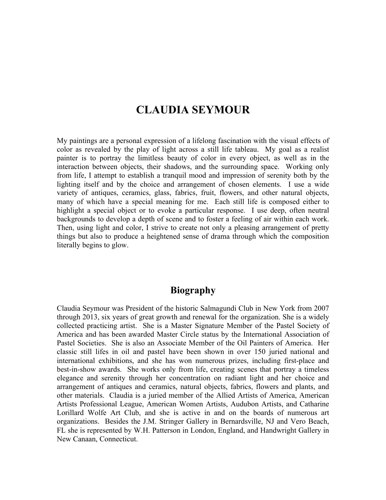# **CLAUDIA SEYMOUR**

My paintings are a personal expression of a lifelong fascination with the visual effects of color as revealed by the play of light across a still life tableau. My goal as a realist painter is to portray the limitless beauty of color in every object, as well as in the interaction between objects, their shadows, and the surrounding space. Working only from life, I attempt to establish a tranquil mood and impression of serenity both by the lighting itself and by the choice and arrangement of chosen elements. I use a wide variety of antiques, ceramics, glass, fabrics, fruit, flowers, and other natural objects, many of which have a special meaning for me. Each still life is composed either to highlight a special object or to evoke a particular response. I use deep, often neutral backgrounds to develop a depth of scene and to foster a feeling of air within each work. Then, using light and color, I strive to create not only a pleasing arrangement of pretty things but also to produce a heightened sense of drama through which the composition literally begins to glow.

## **Biography**

Claudia Seymour was President of the historic Salmagundi Club in New York from 2007 through 2013, six years of great growth and renewal for the organization. She is a widely collected practicing artist. She is a Master Signature Member of the Pastel Society of America and has been awarded Master Circle status by the International Association of Pastel Societies. She is also an Associate Member of the Oil Painters of America. Her classic still lifes in oil and pastel have been shown in over 150 juried national and international exhibitions, and she has won numerous prizes, including first-place and best-in-show awards. She works only from life, creating scenes that portray a timeless elegance and serenity through her concentration on radiant light and her choice and arrangement of antiques and ceramics, natural objects, fabrics, flowers and plants, and other materials. Claudia is a juried member of the Allied Artists of America, American Artists Professional League, American Women Artists, Audubon Artists, and Catharine Lorillard Wolfe Art Club, and she is active in and on the boards of numerous art organizations. Besides the J.M. Stringer Gallery in Bernardsville, NJ and Vero Beach, FL she is represented by W.H. Patterson in London, England, and Handwright Gallery in New Canaan, Connecticut.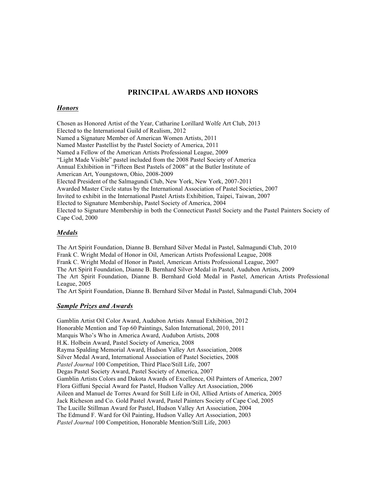#### **PRINCIPAL AWARDS AND HONORS**

#### *Honors*

Chosen as Honored Artist of the Year, Catharine Lorillard Wolfe Art Club, 2013 Elected to the International Guild of Realism, 2012 Named a Signature Member of American Women Artists, 2011 Named Master Pastellist by the Pastel Society of America, 2011 Named a Fellow of the American Artists Professional League, 2009 "Light Made Visible" pastel included from the 2008 Pastel Society of America Annual Exhibition in "Fifteen Best Pastels of 2008" at the Butler Institute of American Art, Youngstown, Ohio, 2008-2009 Elected President of the Salmagundi Club, New York, New York, 2007-2011 Awarded Master Circle status by the International Association of Pastel Societies, 2007 Invited to exhibit in the International Pastel Artists Exhibition, Taipei, Taiwan, 2007 Elected to Signature Membership, Pastel Society of America, 2004 Elected to Signature Membership in both the Connecticut Pastel Society and the Pastel Painters Society of Cape Cod, 2000

#### *Medals*

The Art Spirit Foundation, Dianne B. Bernhard Silver Medal in Pastel, Salmagundi Club, 2010 Frank C. Wright Medal of Honor in Oil, American Artists Professional League, 2008 Frank C. Wright Medal of Honor in Pastel, American Artists Professional League, 2007 The Art Spirit Foundation, Dianne B. Bernhard Silver Medal in Pastel, Audubon Artists, 2009 The Art Spirit Foundation, Dianne B. Bernhard Gold Medal in Pastel, American Artists Professional League, 2005

The Art Spirit Foundation, Dianne B. Bernhard Silver Medal in Pastel, Salmagundi Club, 2004

#### *Sample Prizes and Awards*

Gamblin Artist Oil Color Award, Audubon Artists Annual Exhibition, 2012 Honorable Mention and Top 60 Paintings, Salon International, 2010, 2011 Marquis Who's Who in America Award, Audubon Artists, 2008 H.K. Holbein Award, Pastel Society of America, 2008 Rayma Spalding Memorial Award, Hudson Valley Art Association, 2008 Silver Medal Award, International Association of Pastel Societies, 2008 *Pastel Journal* 100 Competition, Third Place/Still Life, 2007 Degas Pastel Society Award, Pastel Society of America, 2007 Gamblin Artists Colors and Dakota Awards of Excellence, Oil Painters of America, 2007 Flora Giffuni Special Award for Pastel, Hudson Valley Art Association, 2006 Aileen and Manuel de Torres Award for Still Life in Oil, Allied Artists of America, 2005 Jack Richeson and Co. Gold Pastel Award, Pastel Painters Society of Cape Cod, 2005 The Lucille Stillman Award for Pastel, Hudson Valley Art Association, 2004 The Edmund F. Ward for Oil Painting, Hudson Valley Art Association, 2003 *Pastel Journal* 100 Competition, Honorable Mention/Still Life, 2003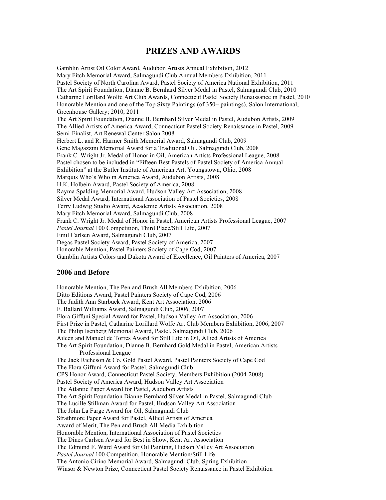### **PRIZES AND AWARDS**

Gamblin Artist Oil Color Award, Audubon Artists Annual Exhibition, 2012 Mary Fitch Memorial Award, Salmagundi Club Annual Members Exhibition, 2011 Pastel Society of North Carolina Award, Pastel Society of America National Exhibition, 2011 The Art Spirit Foundation, Dianne B. Bernhard Silver Medal in Pastel, Salmagundi Club, 2010 Catharine Lorillard Wolfe Art Club Awards, Connecticut Pastel Society Renaissance in Pastel, 2010 Honorable Mention and one of the Top Sixty Paintings (of 350+ paintings), Salon International, Greenhouse Gallery; 2010, 2011 The Art Spirit Foundation, Dianne B. Bernhard Silver Medal in Pastel, Audubon Artists, 2009 The Allied Artists of America Award, Connecticut Pastel Society Renaissance in Pastel, 2009 Semi-Finalist, Art Renewal Center Salon 2008 Herbert L. and R. Harmer Smith Memorial Award, Salmagundi Club, 2009 Gene Magazzini Memorial Award for a Traditional Oil, Salmagundi Club, 2008 Frank C. Wright Jr. Medal of Honor in Oil, American Artists Professional League, 2008 Pastel chosen to be included in "Fifteen Best Pastels of Pastel Society of America Annual Exhibition" at the Butler Institute of American Art, Youngstown, Ohio, 2008 Marquis Who's Who in America Award, Audubon Artists, 2008 H.K. Holbein Award, Pastel Society of America, 2008 Rayma Spalding Memorial Award, Hudson Valley Art Association, 2008 Silver Medal Award, International Association of Pastel Societies, 2008 Terry Ludwig Studio Award, Academic Artists Association, 2008 Mary Fitch Memorial Award, Salmagundi Club, 2008 Frank C. Wright Jr. Medal of Honor in Pastel, American Artists Professional League, 2007 *Pastel Journal* 100 Competition, Third Place/Still Life, 2007 Emil Carlsen Award, Salmagundi Club, 2007 Degas Pastel Society Award, Pastel Society of America, 2007 Honorable Mention, Pastel Painters Society of Cape Cod, 2007 Gamblin Artists Colors and Dakota Award of Excellence, Oil Painters of America, 2007

#### **2006 and Before**

Honorable Mention, The Pen and Brush All Members Exhibition, 2006 Ditto Editions Award, Pastel Painters Society of Cape Cod, 2006 The Judith Ann Starbuck Award, Kent Art Association, 2006 F. Ballard Williams Award, Salmagundi Club, 2006, 2007 Flora Giffuni Special Award for Pastel, Hudson Valley Art Association, 2006 First Prize in Pastel, Catharine Lorillard Wolfe Art Club Members Exhibition, 2006, 2007 The Philip Isenberg Memorial Award, Pastel, Salmagundi Club, 2006 Aileen and Manuel de Torres Award for Still Life in Oil, Allied Artists of America The Art Spirit Foundation, Dianne B. Bernhard Gold Medal in Pastel, American Artists Professional League The Jack Richeson & Co. Gold Pastel Award, Pastel Painters Society of Cape Cod The Flora Giffuni Award for Pastel, Salmagundi Club CPS Honor Award, Connecticut Pastel Society, Members Exhibition (2004-2008) Pastel Society of America Award, Hudson Valley Art Association The Atlantic Paper Award for Pastel, Audubon Artists The Art Spirit Foundation Dianne Bernhard Silver Medal in Pastel, Salmagundi Club The Lucille Stillman Award for Pastel, Hudson Valley Art Association The John La Farge Award for Oil, Salmagundi Club Strathmore Paper Award for Pastel, Allied Artists of America Award of Merit, The Pen and Brush All-Media Exhibition Honorable Mention, International Association of Pastel Societies The Dines Carlsen Award for Best in Show, Kent Art Association The Edmund F. Ward Award for Oil Painting, Hudson Valley Art Association *Pastel Journal* 100 Competition, Honorable Mention/Still Life The Antonio Cirino Memorial Award, Salmagundi Club, Spring Exhibition Winsor & Newton Prize, Connecticut Pastel Society Renaissance in Pastel Exhibition